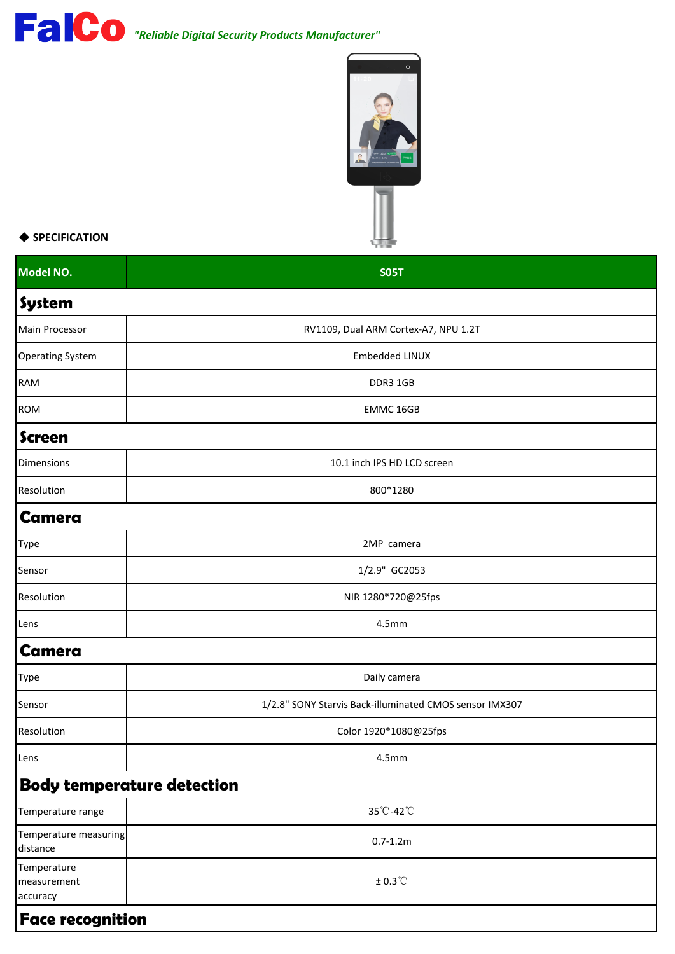## *"Reliable Digital Security Products Manufacturer"*



## ◆ **SPECIFICATION**

| Model NO.                              | <b>SO5T</b>                                             |
|----------------------------------------|---------------------------------------------------------|
| System                                 |                                                         |
| Main Processor                         | RV1109, Dual ARM Cortex-A7, NPU 1.2T                    |
| <b>Operating System</b>                | Embedded LINUX                                          |
| RAM                                    | DDR3 1GB                                                |
| <b>ROM</b>                             | EMMC 16GB                                               |
| <b>Screen</b>                          |                                                         |
| Dimensions                             | 10.1 inch IPS HD LCD screen                             |
| Resolution                             | 800*1280                                                |
| <b>Camera</b>                          |                                                         |
| Type                                   | 2MP camera                                              |
| Sensor                                 | 1/2.9" GC2053                                           |
| Resolution                             | NIR 1280*720@25fps                                      |
| Lens                                   | 4.5mm                                                   |
| <b>Camera</b>                          |                                                         |
| Type                                   | Daily camera                                            |
| Sensor                                 | 1/2.8" SONY Starvis Back-illuminated CMOS sensor IMX307 |
| Resolution                             | Color 1920*1080@25fps                                   |
| Lens                                   | 4.5 <sub>mm</sub>                                       |
|                                        | <b>Body temperature detection</b>                       |
| Temperature range                      | 35°C-42°C                                               |
| Temperature measuring<br>distance      | $0.7 - 1.2m$                                            |
| Temperature<br>measurement<br>accuracy | $± 0.3$ °C                                              |
| <b>Face recognition</b>                |                                                         |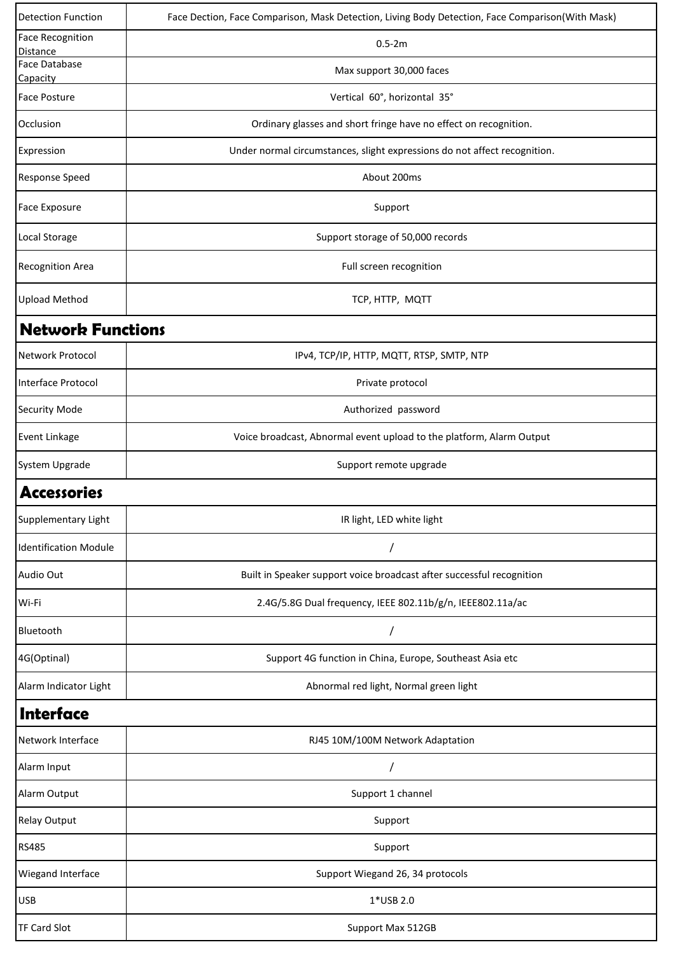| <b>Detection Function</b>           | Face Dection, Face Comparison, Mask Detection, Living Body Detection, Face Comparison(With Mask) |
|-------------------------------------|--------------------------------------------------------------------------------------------------|
| <b>Face Recognition</b><br>Distance | $0.5 - 2m$                                                                                       |
| <b>Face Database</b><br>Capacity    | Max support 30,000 faces                                                                         |
| <b>Face Posture</b>                 | Vertical 60°, horizontal 35°                                                                     |
| Occlusion                           | Ordinary glasses and short fringe have no effect on recognition.                                 |
| Expression                          | Under normal circumstances, slight expressions do not affect recognition.                        |
| <b>Response Speed</b>               | About 200ms                                                                                      |
| <b>Face Exposure</b>                | Support                                                                                          |
| Local Storage                       | Support storage of 50,000 records                                                                |
| <b>Recognition Area</b>             | Full screen recognition                                                                          |
| <b>Upload Method</b>                | TCP, HTTP, MQTT                                                                                  |
| <b>Network Functions</b>            |                                                                                                  |
| Network Protocol                    | IPv4, TCP/IP, HTTP, MQTT, RTSP, SMTP, NTP                                                        |
| Interface Protocol                  | Private protocol                                                                                 |
| <b>Security Mode</b>                | Authorized password                                                                              |
| Event Linkage                       | Voice broadcast, Abnormal event upload to the platform, Alarm Output                             |
| System Upgrade                      | Support remote upgrade                                                                           |
| Accessories                         |                                                                                                  |
| Supplementary Light                 | IR light, LED white light                                                                        |
| <b>Identification Module</b>        |                                                                                                  |
| Audio Out                           | Built in Speaker support voice broadcast after successful recognition                            |
| Wi-Fi                               | 2.4G/5.8G Dual frequency, IEEE 802.11b/g/n, IEEE802.11a/ac                                       |
| Bluetooth                           |                                                                                                  |
| 4G(Optinal)                         | Support 4G function in China, Europe, Southeast Asia etc                                         |
| Alarm Indicator Light               | Abnormal red light, Normal green light                                                           |
| Interface                           |                                                                                                  |
| Network Interface                   | RJ45 10M/100M Network Adaptation                                                                 |
| Alarm Input                         |                                                                                                  |
| Alarm Output                        | Support 1 channel                                                                                |
| <b>Relay Output</b>                 | Support                                                                                          |
| <b>RS485</b>                        | Support                                                                                          |
| Wiegand Interface                   | Support Wiegand 26, 34 protocols                                                                 |
| <b>USB</b>                          | 1*USB 2.0                                                                                        |
| <b>TF Card Slot</b>                 | Support Max 512GB                                                                                |
|                                     |                                                                                                  |